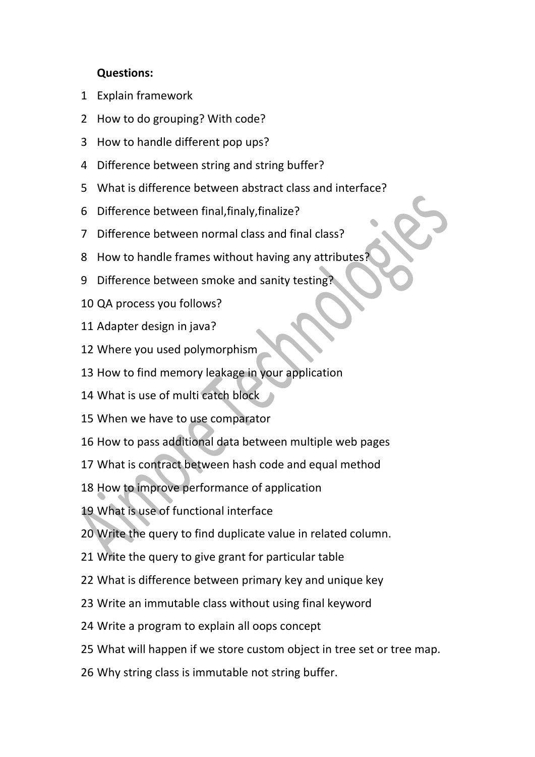## **Questions:**

- Explain framework
- How to do grouping? With code?
- How to handle different pop ups?
- Difference between string and string buffer?
- What is difference between abstract class and interface?
- Difference between final,finaly,finalize?
- Difference between normal class and final class?
- How to handle frames without having any attributes?
- Difference between smoke and sanity testing?
- QA process you follows?
- Adapter design in java?
- Where you used polymorphism
- How to find memory leakage in your application
- What is use of multi catch block
- When we have to use comparator
- How to pass additional data between multiple web pages
- What is contract between hash code and equal method
- How to improve performance of application
- What is use of functional interface
- Write the query to find duplicate value in related column.
- Write the query to give grant for particular table
- What is difference between primary key and unique key
- Write an immutable class without using final keyword
- Write a program to explain all oops concept
- What will happen if we store custom object in tree set or tree map.
- Why string class is immutable not string buffer.